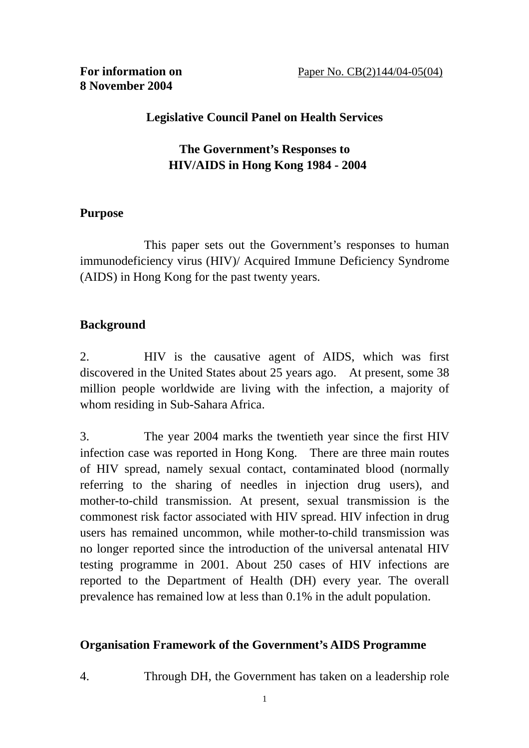# **Legislative Council Panel on Health Services**

# **The Government's Responses to HIV/AIDS in Hong Kong 1984 - 2004**

#### **Purpose**

 This paper sets out the Government's responses to human immunodeficiency virus (HIV)/ Acquired Immune Deficiency Syndrome (AIDS) in Hong Kong for the past twenty years.

## **Background**

2. HIV is the causative agent of AIDS, which was first discovered in the United States about 25 years ago. At present, some 38 million people worldwide are living with the infection, a majority of whom residing in Sub-Sahara Africa.

3. The year 2004 marks the twentieth year since the first HIV infection case was reported in Hong Kong. There are three main routes of HIV spread, namely sexual contact, contaminated blood (normally referring to the sharing of needles in injection drug users), and mother-to-child transmission. At present, sexual transmission is the commonest risk factor associated with HIV spread. HIV infection in drug users has remained uncommon, while mother-to-child transmission was no longer reported since the introduction of the universal antenatal HIV testing programme in 2001. About 250 cases of HIV infections are reported to the Department of Health (DH) every year. The overall prevalence has remained low at less than 0.1% in the adult population.

## **Organisation Framework of the Government's AIDS Programme**

4. Through DH, the Government has taken on a leadership role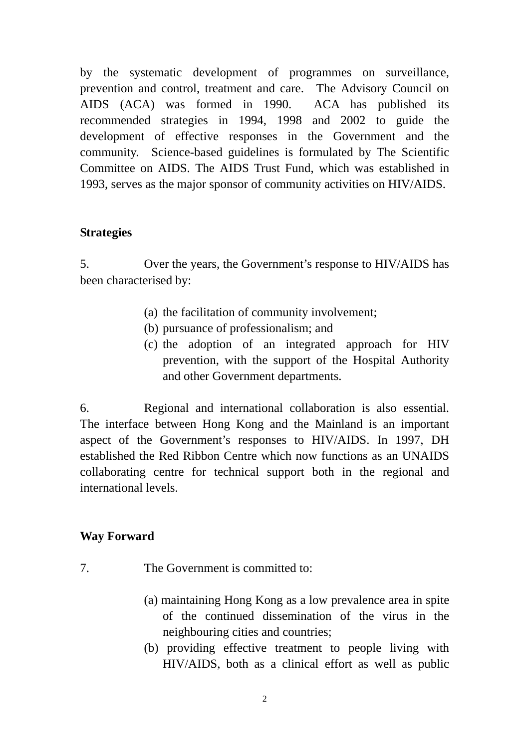by the systematic development of programmes on surveillance, prevention and control, treatment and care. The Advisory Council on AIDS (ACA) was formed in 1990. ACA has published its recommended strategies in 1994, 1998 and 2002 to guide the development of effective responses in the Government and the community. Science-based guidelines is formulated by The Scientific Committee on AIDS. The AIDS Trust Fund, which was established in 1993, serves as the major sponsor of community activities on HIV/AIDS.

#### **Strategies**

5. Over the years, the Government's response to HIV/AIDS has been characterised by:

- (a) the facilitation of community involvement;
- (b) pursuance of professionalism; and
- (c) the adoption of an integrated approach for HIV prevention, with the support of the Hospital Authority and other Government departments.

6. Regional and international collaboration is also essential. The interface between Hong Kong and the Mainland is an important aspect of the Government's responses to HIV/AIDS. In 1997, DH established the Red Ribbon Centre which now functions as an UNAIDS collaborating centre for technical support both in the regional and international levels.

## **Way Forward**

- 7. The Government is committed to:
	- (a) maintaining Hong Kong as a low prevalence area in spite of the continued dissemination of the virus in the neighbouring cities and countries;
	- (b) providing effective treatment to people living with HIV/AIDS, both as a clinical effort as well as public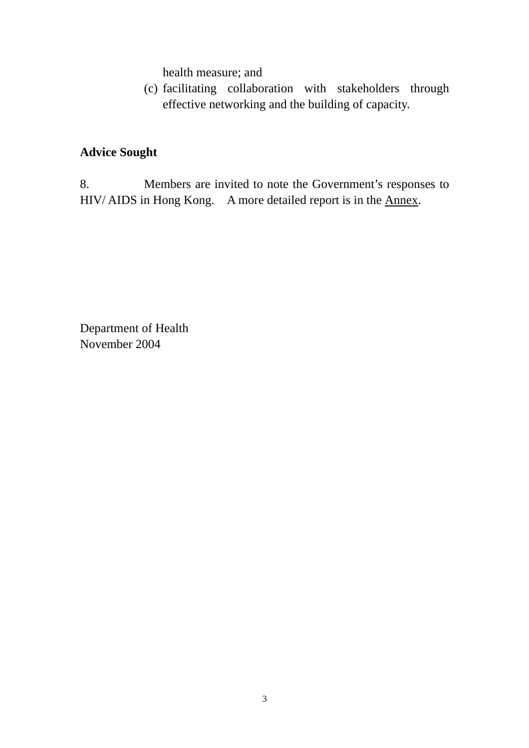health measure; and

(c) facilitating collaboration with stakeholders through effective networking and the building of capacity.

## **Advice Sought**

8. Members are invited to note the Government's responses to HIV/ AIDS in Hong Kong. A more detailed report is in the Annex.

Department of Health November 2004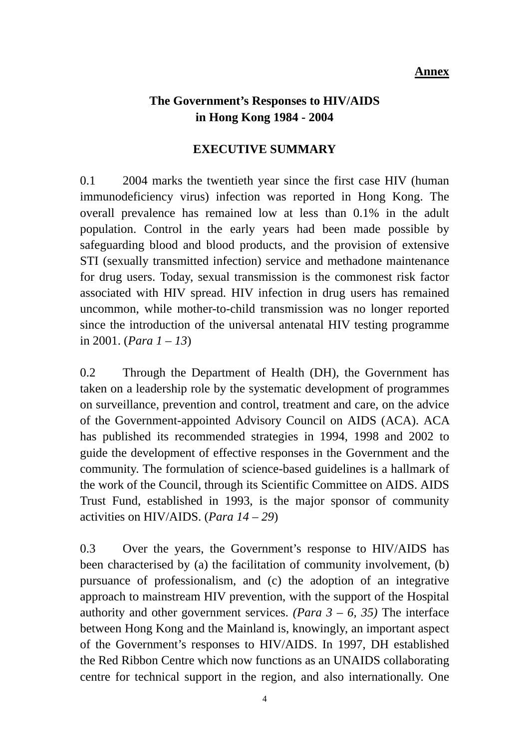#### **Annex**

## **The Government's Responses to HIV/AIDS in Hong Kong 1984 - 2004**

#### **EXECUTIVE SUMMARY**

0.1 2004 marks the twentieth year since the first case HIV (human immunodeficiency virus) infection was reported in Hong Kong. The overall prevalence has remained low at less than 0.1% in the adult population. Control in the early years had been made possible by safeguarding blood and blood products, and the provision of extensive STI (sexually transmitted infection) service and methadone maintenance for drug users. Today, sexual transmission is the commonest risk factor associated with HIV spread. HIV infection in drug users has remained uncommon, while mother-to-child transmission was no longer reported since the introduction of the universal antenatal HIV testing programme in 2001. (*Para 1 – 13*)

0.2 Through the Department of Health (DH), the Government has taken on a leadership role by the systematic development of programmes on surveillance, prevention and control, treatment and care, on the advice of the Government-appointed Advisory Council on AIDS (ACA). ACA has published its recommended strategies in 1994, 1998 and 2002 to guide the development of effective responses in the Government and the community. The formulation of science-based guidelines is a hallmark of the work of the Council, through its Scientific Committee on AIDS. AIDS Trust Fund, established in 1993, is the major sponsor of community activities on HIV/AIDS. (*Para 14 – 29*)

0.3 Over the years, the Government's response to HIV/AIDS has been characterised by (a) the facilitation of community involvement, (b) pursuance of professionalism, and (c) the adoption of an integrative approach to mainstream HIV prevention, with the support of the Hospital authority and other government services. *(Para 3 – 6, 35)* The interface between Hong Kong and the Mainland is, knowingly, an important aspect of the Government's responses to HIV/AIDS. In 1997, DH established the Red Ribbon Centre which now functions as an UNAIDS collaborating centre for technical support in the region, and also internationally. One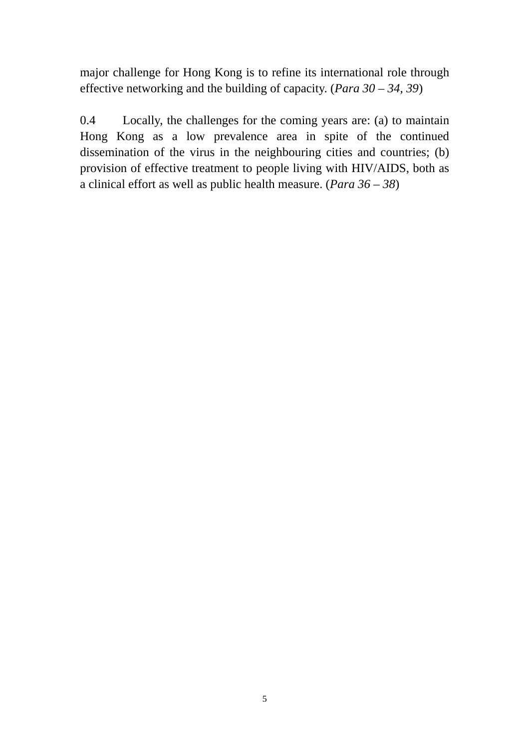major challenge for Hong Kong is to refine its international role through effective networking and the building of capacity. (*Para 30 – 34, 39*)

0.4 Locally, the challenges for the coming years are: (a) to maintain Hong Kong as a low prevalence area in spite of the continued dissemination of the virus in the neighbouring cities and countries; (b) provision of effective treatment to people living with HIV/AIDS, both as a clinical effort as well as public health measure. (*Para 36 – 38*)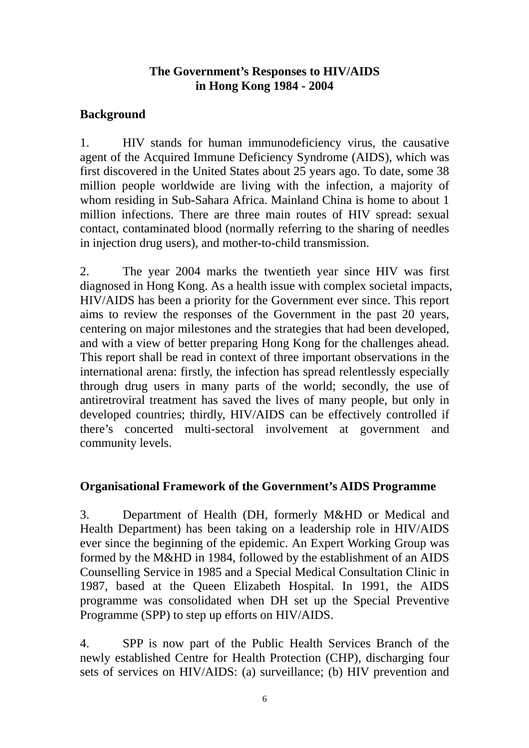#### **The Government's Responses to HIV/AIDS in Hong Kong 1984 - 2004**

## **Background**

1. HIV stands for human immunodeficiency virus, the causative agent of the Acquired Immune Deficiency Syndrome (AIDS), which was first discovered in the United States about 25 years ago. To date, some 38 million people worldwide are living with the infection, a majority of whom residing in Sub-Sahara Africa. Mainland China is home to about 1 million infections. There are three main routes of HIV spread: sexual contact, contaminated blood (normally referring to the sharing of needles in injection drug users), and mother-to-child transmission.

2. The year 2004 marks the twentieth year since HIV was first diagnosed in Hong Kong. As a health issue with complex societal impacts, HIV/AIDS has been a priority for the Government ever since. This report aims to review the responses of the Government in the past 20 years, centering on major milestones and the strategies that had been developed, and with a view of better preparing Hong Kong for the challenges ahead. This report shall be read in context of three important observations in the international arena: firstly, the infection has spread relentlessly especially through drug users in many parts of the world; secondly, the use of antiretroviral treatment has saved the lives of many people, but only in developed countries; thirdly, HIV/AIDS can be effectively controlled if there's concerted multi-sectoral involvement at government and community levels.

## **Organisational Framework of the Government's AIDS Programme**

3. Department of Health (DH, formerly M&HD or Medical and Health Department) has been taking on a leadership role in HIV/AIDS ever since the beginning of the epidemic. An Expert Working Group was formed by the M&HD in 1984, followed by the establishment of an AIDS Counselling Service in 1985 and a Special Medical Consultation Clinic in 1987, based at the Queen Elizabeth Hospital. In 1991, the AIDS programme was consolidated when DH set up the Special Preventive Programme (SPP) to step up efforts on HIV/AIDS.

4. SPP is now part of the Public Health Services Branch of the newly established Centre for Health Protection (CHP), discharging four sets of services on HIV/AIDS: (a) surveillance; (b) HIV prevention and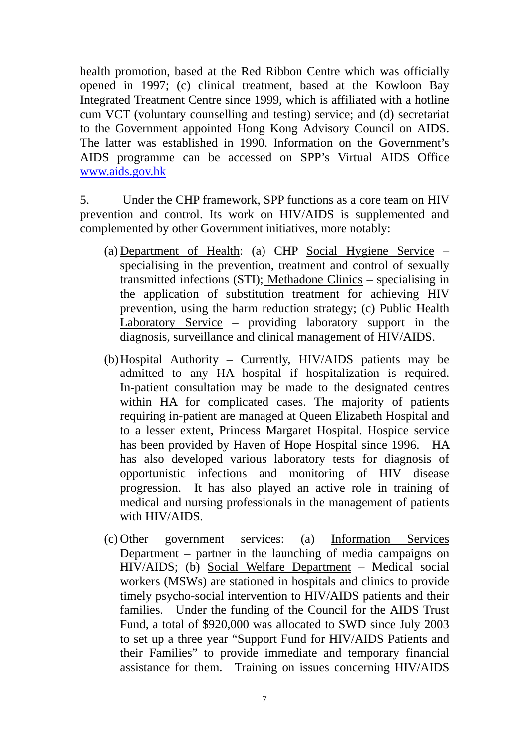health promotion, based at the Red Ribbon Centre which was officially opened in 1997; (c) clinical treatment, based at the Kowloon Bay Integrated Treatment Centre since 1999, which is affiliated with a hotline cum VCT (voluntary counselling and testing) service; and (d) secretariat to the Government appointed Hong Kong Advisory Council on AIDS. The latter was established in 1990. Information on the Government's AIDS programme can be accessed on SPP's Virtual AIDS Office www.aids.gov.hk

5. Under the CHP framework, SPP functions as a core team on HIV prevention and control. Its work on HIV/AIDS is supplemented and complemented by other Government initiatives, more notably:

- (a) Department of Health: (a) CHP Social Hygiene Service specialising in the prevention, treatment and control of sexually transmitted infections (STI); Methadone Clinics – specialising in the application of substitution treatment for achieving HIV prevention, using the harm reduction strategy; (c) Public Health Laboratory Service – providing laboratory support in the diagnosis, surveillance and clinical management of HIV/AIDS.
- (b)Hospital Authority Currently, HIV/AIDS patients may be admitted to any HA hospital if hospitalization is required. In-patient consultation may be made to the designated centres within HA for complicated cases. The majority of patients requiring in-patient are managed at Queen Elizabeth Hospital and to a lesser extent, Princess Margaret Hospital. Hospice service has been provided by Haven of Hope Hospital since 1996. HA has also developed various laboratory tests for diagnosis of opportunistic infections and monitoring of HIV disease progression. It has also played an active role in training of medical and nursing professionals in the management of patients with HIV/AIDS.
- (c) Other government services: (a) Information Services Department – partner in the launching of media campaigns on HIV/AIDS; (b) Social Welfare Department – Medical social workers (MSWs) are stationed in hospitals and clinics to provide timely psycho-social intervention to HIV/AIDS patients and their families. Under the funding of the Council for the AIDS Trust Fund, a total of \$920,000 was allocated to SWD since July 2003 to set up a three year "Support Fund for HIV/AIDS Patients and their Families" to provide immediate and temporary financial assistance for them. Training on issues concerning HIV/AIDS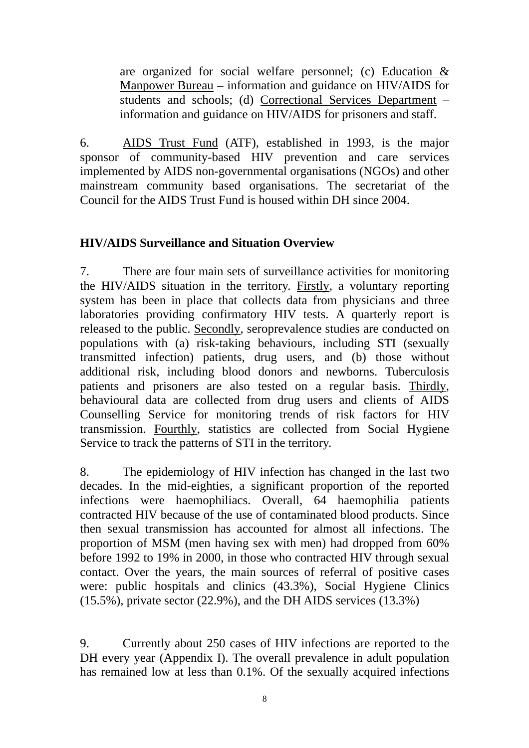are organized for social welfare personnel; (c) Education  $\&$ Manpower Bureau – information and guidance on HIV/AIDS for students and schools; (d) Correctional Services Department – information and guidance on HIV/AIDS for prisoners and staff.

6. AIDS Trust Fund (ATF), established in 1993, is the major sponsor of community-based HIV prevention and care services implemented by AIDS non-governmental organisations (NGOs) and other mainstream community based organisations. The secretariat of the Council for the AIDS Trust Fund is housed within DH since 2004.

## **HIV/AIDS Surveillance and Situation Overview**

7. There are four main sets of surveillance activities for monitoring the HIV/AIDS situation in the territory. Firstly, a voluntary reporting system has been in place that collects data from physicians and three laboratories providing confirmatory HIV tests. A quarterly report is released to the public. Secondly, seroprevalence studies are conducted on populations with (a) risk-taking behaviours, including STI (sexually transmitted infection) patients, drug users, and (b) those without additional risk, including blood donors and newborns. Tuberculosis patients and prisoners are also tested on a regular basis. Thirdly, behavioural data are collected from drug users and clients of AIDS Counselling Service for monitoring trends of risk factors for HIV transmission. Fourthly, statistics are collected from Social Hygiene Service to track the patterns of STI in the territory.

8. The epidemiology of HIV infection has changed in the last two decades. In the mid-eighties, a significant proportion of the reported infections were haemophiliacs. Overall, 64 haemophilia patients contracted HIV because of the use of contaminated blood products. Since then sexual transmission has accounted for almost all infections. The proportion of MSM (men having sex with men) had dropped from 60% before 1992 to 19% in 2000, in those who contracted HIV through sexual contact. Over the years, the main sources of referral of positive cases were: public hospitals and clinics (43.3%), Social Hygiene Clinics (15.5%), private sector (22.9%), and the DH AIDS services (13.3%)

9. Currently about 250 cases of HIV infections are reported to the DH every year (Appendix I). The overall prevalence in adult population has remained low at less than 0.1%. Of the sexually acquired infections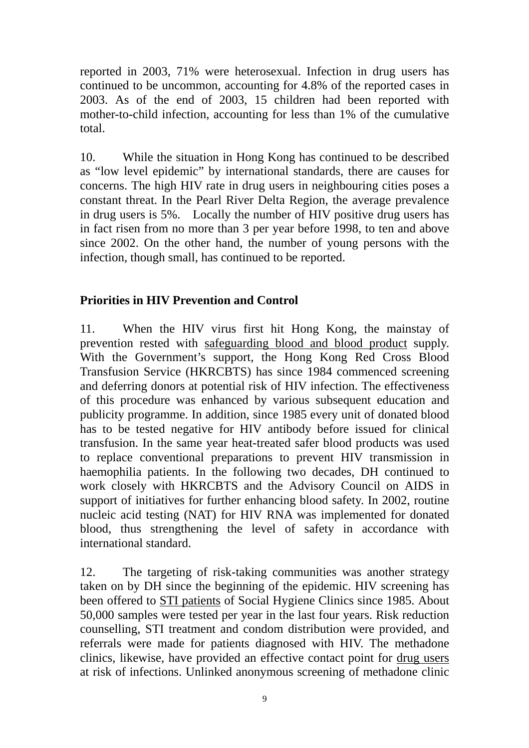reported in 2003, 71% were heterosexual. Infection in drug users has continued to be uncommon, accounting for 4.8% of the reported cases in 2003. As of the end of 2003, 15 children had been reported with mother-to-child infection, accounting for less than 1% of the cumulative total.

10. While the situation in Hong Kong has continued to be described as "low level epidemic" by international standards, there are causes for concerns. The high HIV rate in drug users in neighbouring cities poses a constant threat. In the Pearl River Delta Region, the average prevalence in drug users is 5%. Locally the number of HIV positive drug users has in fact risen from no more than 3 per year before 1998, to ten and above since 2002. On the other hand, the number of young persons with the infection, though small, has continued to be reported.

## **Priorities in HIV Prevention and Control**

11. When the HIV virus first hit Hong Kong, the mainstay of prevention rested with safeguarding blood and blood product supply. With the Government's support, the Hong Kong Red Cross Blood Transfusion Service (HKRCBTS) has since 1984 commenced screening and deferring donors at potential risk of HIV infection. The effectiveness of this procedure was enhanced by various subsequent education and publicity programme. In addition, since 1985 every unit of donated blood has to be tested negative for HIV antibody before issued for clinical transfusion. In the same year heat-treated safer blood products was used to replace conventional preparations to prevent HIV transmission in haemophilia patients. In the following two decades, DH continued to work closely with HKRCBTS and the Advisory Council on AIDS in support of initiatives for further enhancing blood safety. In 2002, routine nucleic acid testing (NAT) for HIV RNA was implemented for donated blood, thus strengthening the level of safety in accordance with international standard.

12. The targeting of risk-taking communities was another strategy taken on by DH since the beginning of the epidemic. HIV screening has been offered to STI patients of Social Hygiene Clinics since 1985. About 50,000 samples were tested per year in the last four years. Risk reduction counselling, STI treatment and condom distribution were provided, and referrals were made for patients diagnosed with HIV. The methadone clinics, likewise, have provided an effective contact point for drug users at risk of infections. Unlinked anonymous screening of methadone clinic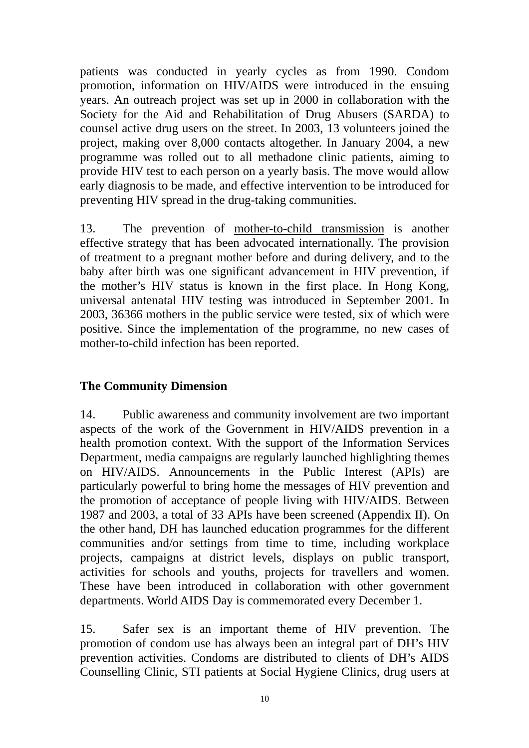patients was conducted in yearly cycles as from 1990. Condom promotion, information on HIV/AIDS were introduced in the ensuing years. An outreach project was set up in 2000 in collaboration with the Society for the Aid and Rehabilitation of Drug Abusers (SARDA) to counsel active drug users on the street. In 2003, 13 volunteers joined the project, making over 8,000 contacts altogether. In January 2004, a new programme was rolled out to all methadone clinic patients, aiming to provide HIV test to each person on a yearly basis. The move would allow early diagnosis to be made, and effective intervention to be introduced for preventing HIV spread in the drug-taking communities.

13. The prevention of mother-to-child transmission is another effective strategy that has been advocated internationally. The provision of treatment to a pregnant mother before and during delivery, and to the baby after birth was one significant advancement in HIV prevention, if the mother's HIV status is known in the first place. In Hong Kong, universal antenatal HIV testing was introduced in September 2001. In 2003, 36366 mothers in the public service were tested, six of which were positive. Since the implementation of the programme, no new cases of mother-to-child infection has been reported.

#### **The Community Dimension**

14. Public awareness and community involvement are two important aspects of the work of the Government in HIV/AIDS prevention in a health promotion context. With the support of the Information Services Department, media campaigns are regularly launched highlighting themes on HIV/AIDS. Announcements in the Public Interest (APIs) are particularly powerful to bring home the messages of HIV prevention and the promotion of acceptance of people living with HIV/AIDS. Between 1987 and 2003, a total of 33 APIs have been screened (Appendix II). On the other hand, DH has launched education programmes for the different communities and/or settings from time to time, including workplace projects, campaigns at district levels, displays on public transport, activities for schools and youths, projects for travellers and women. These have been introduced in collaboration with other government departments. World AIDS Day is commemorated every December 1.

15. Safer sex is an important theme of HIV prevention. The promotion of condom use has always been an integral part of DH's HIV prevention activities. Condoms are distributed to clients of DH's AIDS Counselling Clinic, STI patients at Social Hygiene Clinics, drug users at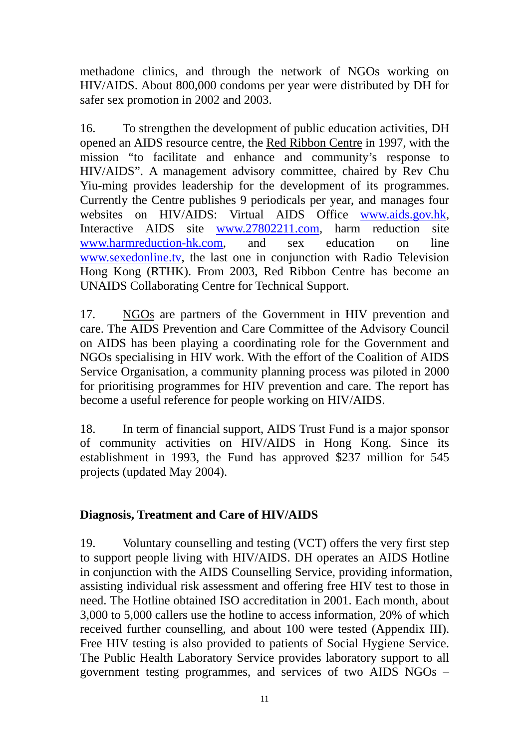methadone clinics, and through the network of NGOs working on HIV/AIDS. About 800,000 condoms per year were distributed by DH for safer sex promotion in 2002 and 2003.

16. To strengthen the development of public education activities, DH opened an AIDS resource centre, the Red Ribbon Centre in 1997, with the mission "to facilitate and enhance and community's response to HIV/AIDS". A management advisory committee, chaired by Rev Chu Yiu-ming provides leadership for the development of its programmes. Currently the Centre publishes 9 periodicals per year, and manages four websites on HIV/AIDS: Virtual AIDS Office www.aids.gov.hk, Interactive AIDS site www.27802211.com, harm reduction site www.harmreduction-hk.com, and sex education on line www.sexedonline.tv, the last one in conjunction with Radio Television Hong Kong (RTHK). From 2003, Red Ribbon Centre has become an UNAIDS Collaborating Centre for Technical Support.

17. NGOs are partners of the Government in HIV prevention and care. The AIDS Prevention and Care Committee of the Advisory Council on AIDS has been playing a coordinating role for the Government and NGOs specialising in HIV work. With the effort of the Coalition of AIDS Service Organisation, a community planning process was piloted in 2000 for prioritising programmes for HIV prevention and care. The report has become a useful reference for people working on HIV/AIDS.

18. In term of financial support, AIDS Trust Fund is a major sponsor of community activities on HIV/AIDS in Hong Kong. Since its establishment in 1993, the Fund has approved \$237 million for 545 projects (updated May 2004).

## **Diagnosis, Treatment and Care of HIV/AIDS**

19. Voluntary counselling and testing (VCT) offers the very first step to support people living with HIV/AIDS. DH operates an AIDS Hotline in conjunction with the AIDS Counselling Service, providing information, assisting individual risk assessment and offering free HIV test to those in need. The Hotline obtained ISO accreditation in 2001. Each month, about 3,000 to 5,000 callers use the hotline to access information, 20% of which received further counselling, and about 100 were tested (Appendix III). Free HIV testing is also provided to patients of Social Hygiene Service. The Public Health Laboratory Service provides laboratory support to all government testing programmes, and services of two AIDS NGOs –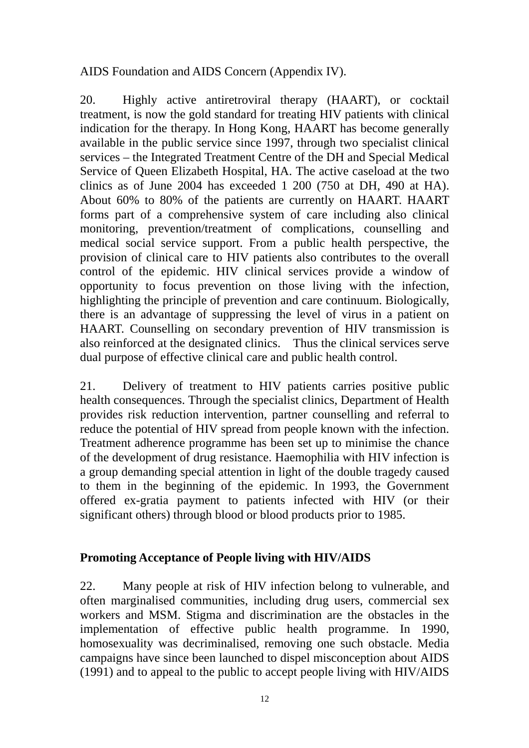AIDS Foundation and AIDS Concern (Appendix IV).

20. Highly active antiretroviral therapy (HAART), or cocktail treatment, is now the gold standard for treating HIV patients with clinical indication for the therapy. In Hong Kong, HAART has become generally available in the public service since 1997, through two specialist clinical services – the Integrated Treatment Centre of the DH and Special Medical Service of Queen Elizabeth Hospital, HA. The active caseload at the two clinics as of June 2004 has exceeded 1 200 (750 at DH, 490 at HA). About 60% to 80% of the patients are currently on HAART. HAART forms part of a comprehensive system of care including also clinical monitoring, prevention/treatment of complications, counselling and medical social service support. From a public health perspective, the provision of clinical care to HIV patients also contributes to the overall control of the epidemic. HIV clinical services provide a window of opportunity to focus prevention on those living with the infection, highlighting the principle of prevention and care continuum. Biologically, there is an advantage of suppressing the level of virus in a patient on HAART. Counselling on secondary prevention of HIV transmission is also reinforced at the designated clinics. Thus the clinical services serve dual purpose of effective clinical care and public health control.

21. Delivery of treatment to HIV patients carries positive public health consequences. Through the specialist clinics, Department of Health provides risk reduction intervention, partner counselling and referral to reduce the potential of HIV spread from people known with the infection. Treatment adherence programme has been set up to minimise the chance of the development of drug resistance. Haemophilia with HIV infection is a group demanding special attention in light of the double tragedy caused to them in the beginning of the epidemic. In 1993, the Government offered ex-gratia payment to patients infected with HIV (or their significant others) through blood or blood products prior to 1985.

## **Promoting Acceptance of People living with HIV/AIDS**

22. Many people at risk of HIV infection belong to vulnerable, and often marginalised communities, including drug users, commercial sex workers and MSM. Stigma and discrimination are the obstacles in the implementation of effective public health programme. In 1990, homosexuality was decriminalised, removing one such obstacle. Media campaigns have since been launched to dispel misconception about AIDS (1991) and to appeal to the public to accept people living with HIV/AIDS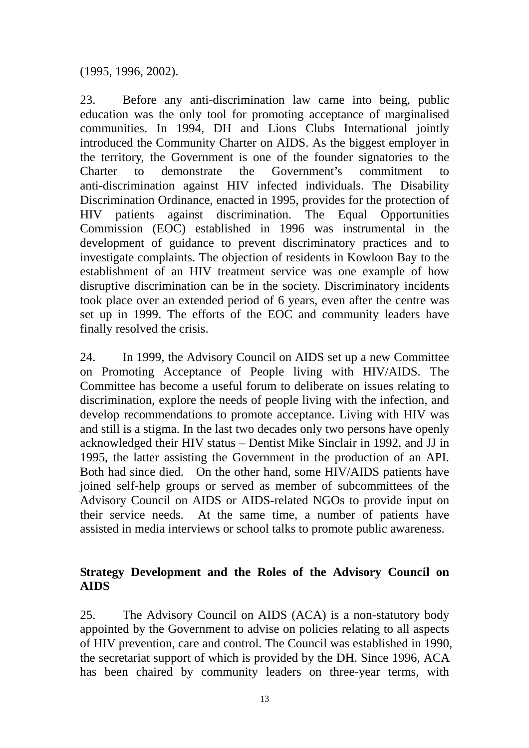(1995, 1996, 2002).

23. Before any anti-discrimination law came into being, public education was the only tool for promoting acceptance of marginalised communities. In 1994, DH and Lions Clubs International jointly introduced the Community Charter on AIDS. As the biggest employer in the territory, the Government is one of the founder signatories to the Charter to demonstrate the Government's commitment anti-discrimination against HIV infected individuals. The Disability Discrimination Ordinance, enacted in 1995, provides for the protection of HIV patients against discrimination. The Equal Opportunities Commission (EOC) established in 1996 was instrumental in the development of guidance to prevent discriminatory practices and to investigate complaints. The objection of residents in Kowloon Bay to the establishment of an HIV treatment service was one example of how disruptive discrimination can be in the society. Discriminatory incidents took place over an extended period of 6 years, even after the centre was set up in 1999. The efforts of the EOC and community leaders have finally resolved the crisis.

24. In 1999, the Advisory Council on AIDS set up a new Committee on Promoting Acceptance of People living with HIV/AIDS. The Committee has become a useful forum to deliberate on issues relating to discrimination, explore the needs of people living with the infection, and develop recommendations to promote acceptance. Living with HIV was and still is a stigma. In the last two decades only two persons have openly acknowledged their HIV status – Dentist Mike Sinclair in 1992, and JJ in 1995, the latter assisting the Government in the production of an API. Both had since died. On the other hand, some HIV/AIDS patients have joined self-help groups or served as member of subcommittees of the Advisory Council on AIDS or AIDS-related NGOs to provide input on their service needs. At the same time, a number of patients have assisted in media interviews or school talks to promote public awareness.

#### **Strategy Development and the Roles of the Advisory Council on AIDS**

25. The Advisory Council on AIDS (ACA) is a non-statutory body appointed by the Government to advise on policies relating to all aspects of HIV prevention, care and control. The Council was established in 1990, the secretariat support of which is provided by the DH. Since 1996, ACA has been chaired by community leaders on three-year terms, with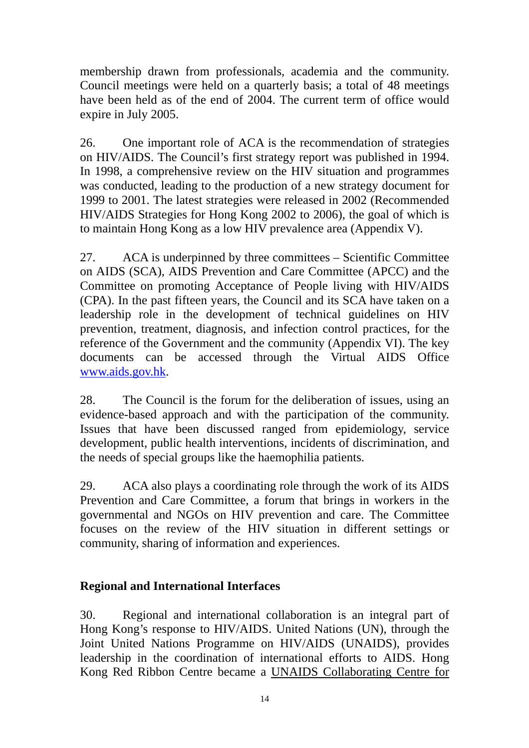membership drawn from professionals, academia and the community. Council meetings were held on a quarterly basis; a total of 48 meetings have been held as of the end of 2004. The current term of office would expire in July 2005.

26. One important role of ACA is the recommendation of strategies on HIV/AIDS. The Council's first strategy report was published in 1994. In 1998, a comprehensive review on the HIV situation and programmes was conducted, leading to the production of a new strategy document for 1999 to 2001. The latest strategies were released in 2002 (Recommended HIV/AIDS Strategies for Hong Kong 2002 to 2006), the goal of which is to maintain Hong Kong as a low HIV prevalence area (Appendix V).

27. ACA is underpinned by three committees – Scientific Committee on AIDS (SCA), AIDS Prevention and Care Committee (APCC) and the Committee on promoting Acceptance of People living with HIV/AIDS (CPA). In the past fifteen years, the Council and its SCA have taken on a leadership role in the development of technical guidelines on HIV prevention, treatment, diagnosis, and infection control practices, for the reference of the Government and the community (Appendix VI). The key documents can be accessed through the Virtual AIDS Office www.aids.gov.hk.

28. The Council is the forum for the deliberation of issues, using an evidence-based approach and with the participation of the community. Issues that have been discussed ranged from epidemiology, service development, public health interventions, incidents of discrimination, and the needs of special groups like the haemophilia patients.

29. ACA also plays a coordinating role through the work of its AIDS Prevention and Care Committee, a forum that brings in workers in the governmental and NGOs on HIV prevention and care. The Committee focuses on the review of the HIV situation in different settings or community, sharing of information and experiences.

## **Regional and International Interfaces**

30. Regional and international collaboration is an integral part of Hong Kong's response to HIV/AIDS. United Nations (UN), through the Joint United Nations Programme on HIV/AIDS (UNAIDS), provides leadership in the coordination of international efforts to AIDS. Hong Kong Red Ribbon Centre became a UNAIDS Collaborating Centre for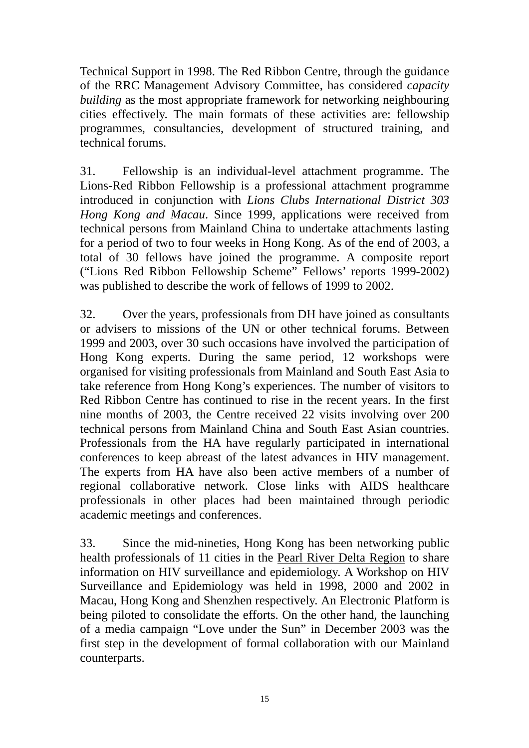Technical Support in 1998. The Red Ribbon Centre, through the guidance of the RRC Management Advisory Committee, has considered *capacity building* as the most appropriate framework for networking neighbouring cities effectively. The main formats of these activities are: fellowship programmes, consultancies, development of structured training, and technical forums.

31. Fellowship is an individual-level attachment programme. The Lions-Red Ribbon Fellowship is a professional attachment programme introduced in conjunction with *Lions Clubs International District 303 Hong Kong and Macau*. Since 1999, applications were received from technical persons from Mainland China to undertake attachments lasting for a period of two to four weeks in Hong Kong. As of the end of 2003, a total of 30 fellows have joined the programme. A composite report ("Lions Red Ribbon Fellowship Scheme" Fellows' reports 1999-2002) was published to describe the work of fellows of 1999 to 2002.

32. Over the years, professionals from DH have joined as consultants or advisers to missions of the UN or other technical forums. Between 1999 and 2003, over 30 such occasions have involved the participation of Hong Kong experts. During the same period, 12 workshops were organised for visiting professionals from Mainland and South East Asia to take reference from Hong Kong's experiences. The number of visitors to Red Ribbon Centre has continued to rise in the recent years. In the first nine months of 2003, the Centre received 22 visits involving over 200 technical persons from Mainland China and South East Asian countries. Professionals from the HA have regularly participated in international conferences to keep abreast of the latest advances in HIV management. The experts from HA have also been active members of a number of regional collaborative network. Close links with AIDS healthcare professionals in other places had been maintained through periodic academic meetings and conferences.

33. Since the mid-nineties, Hong Kong has been networking public health professionals of 11 cities in the Pearl River Delta Region to share information on HIV surveillance and epidemiology. A Workshop on HIV Surveillance and Epidemiology was held in 1998, 2000 and 2002 in Macau, Hong Kong and Shenzhen respectively. An Electronic Platform is being piloted to consolidate the efforts. On the other hand, the launching of a media campaign "Love under the Sun" in December 2003 was the first step in the development of formal collaboration with our Mainland counterparts.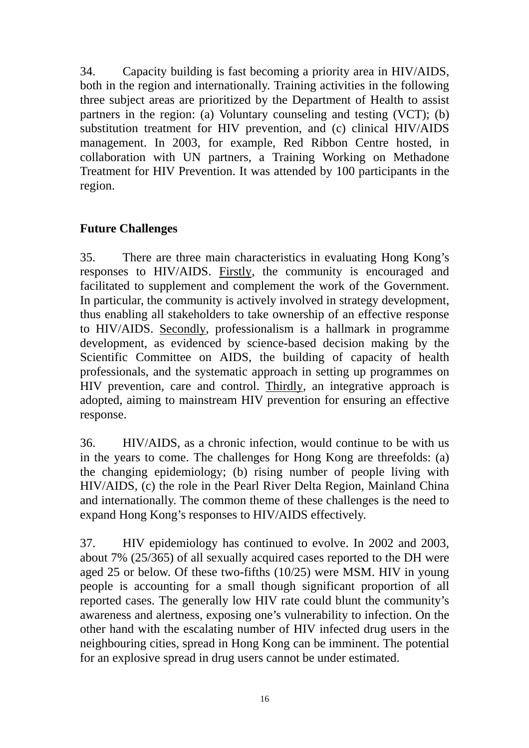34. Capacity building is fast becoming a priority area in HIV/AIDS, both in the region and internationally. Training activities in the following three subject areas are prioritized by the Department of Health to assist partners in the region: (a) Voluntary counseling and testing (VCT); (b) substitution treatment for HIV prevention, and (c) clinical HIV/AIDS management. In 2003, for example, Red Ribbon Centre hosted, in collaboration with UN partners, a Training Working on Methadone Treatment for HIV Prevention. It was attended by 100 participants in the region.

## **Future Challenges**

35. There are three main characteristics in evaluating Hong Kong's responses to HIV/AIDS. Firstly, the community is encouraged and facilitated to supplement and complement the work of the Government. In particular, the community is actively involved in strategy development, thus enabling all stakeholders to take ownership of an effective response to HIV/AIDS. Secondly, professionalism is a hallmark in programme development, as evidenced by science-based decision making by the Scientific Committee on AIDS, the building of capacity of health professionals, and the systematic approach in setting up programmes on HIV prevention, care and control. Thirdly, an integrative approach is adopted, aiming to mainstream HIV prevention for ensuring an effective response.

36. HIV/AIDS, as a chronic infection, would continue to be with us in the years to come. The challenges for Hong Kong are threefolds: (a) the changing epidemiology; (b) rising number of people living with HIV/AIDS, (c) the role in the Pearl River Delta Region, Mainland China and internationally. The common theme of these challenges is the need to expand Hong Kong's responses to HIV/AIDS effectively.

37. HIV epidemiology has continued to evolve. In 2002 and 2003, about 7% (25/365) of all sexually acquired cases reported to the DH were aged 25 or below. Of these two-fifths (10/25) were MSM. HIV in young people is accounting for a small though significant proportion of all reported cases. The generally low HIV rate could blunt the community's awareness and alertness, exposing one's vulnerability to infection. On the other hand with the escalating number of HIV infected drug users in the neighbouring cities, spread in Hong Kong can be imminent. The potential for an explosive spread in drug users cannot be under estimated.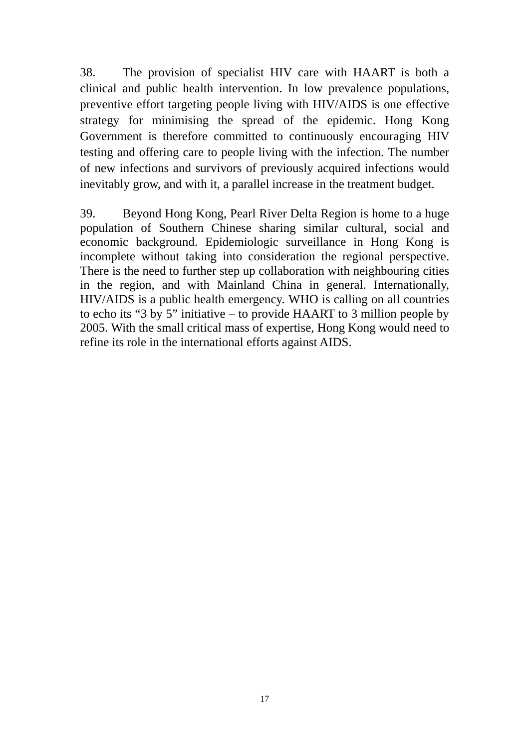38. The provision of specialist HIV care with HAART is both a clinical and public health intervention. In low prevalence populations, preventive effort targeting people living with HIV/AIDS is one effective strategy for minimising the spread of the epidemic. Hong Kong Government is therefore committed to continuously encouraging HIV testing and offering care to people living with the infection. The number of new infections and survivors of previously acquired infections would inevitably grow, and with it, a parallel increase in the treatment budget.

39. Beyond Hong Kong, Pearl River Delta Region is home to a huge population of Southern Chinese sharing similar cultural, social and economic background. Epidemiologic surveillance in Hong Kong is incomplete without taking into consideration the regional perspective. There is the need to further step up collaboration with neighbouring cities in the region, and with Mainland China in general. Internationally, HIV/AIDS is a public health emergency. WHO is calling on all countries to echo its "3 by 5" initiative – to provide HAART to 3 million people by 2005. With the small critical mass of expertise, Hong Kong would need to refine its role in the international efforts against AIDS.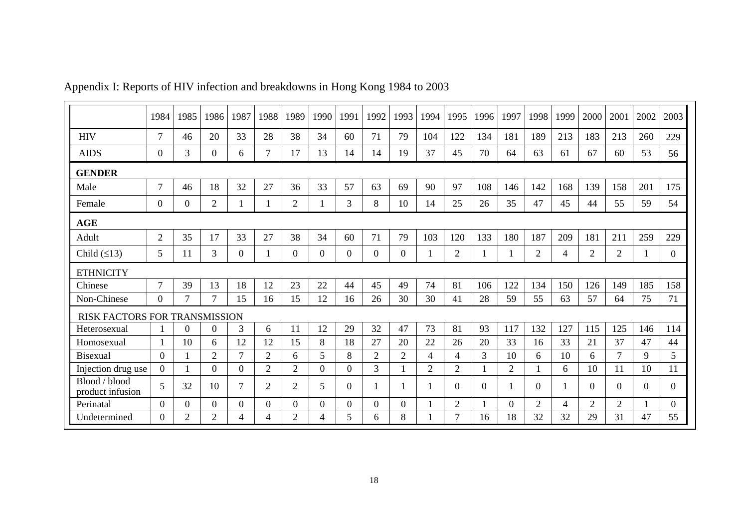|                                   | 1984           | 1985           | 1986           | 1987           | 1988           | 1989             | 1990             | 1991           | 1992           | 1993           | 1994           | 1995           | 1996           | 1997           | 1998           | 1999           | 2000           | 2001           | 2002     | 2003           |
|-----------------------------------|----------------|----------------|----------------|----------------|----------------|------------------|------------------|----------------|----------------|----------------|----------------|----------------|----------------|----------------|----------------|----------------|----------------|----------------|----------|----------------|
| <b>HIV</b>                        | $\tau$         | 46             | 20             | 33             | 28             | 38               | 34               | 60             | 71             | 79             | 104            | 122            | 134            | 181            | 189            | 213            | 183            | 213            | 260      | 229            |
| <b>AIDS</b>                       | $\overline{0}$ | 3              | $\overline{0}$ | 6              | $\tau$         | 17               | 13               | 14             | 14             | 19             | 37             | 45             | 70             | 64             | 63             | 61             | 67             | 60             | 53       | 56             |
| <b>GENDER</b>                     |                |                |                |                |                |                  |                  |                |                |                |                |                |                |                |                |                |                |                |          |                |
| Male                              | $\tau$         | 46             | 18             | 32             | 27             | 36               | 33               | 57             | 63             | 69             | 90             | 97             | 108            | 146            | 142            | 168            | 139            | 158            | 201      | 175            |
| Female                            | $\Omega$       | $\overline{0}$ | $\overline{2}$ |                |                | $\overline{2}$   |                  | 3              | 8              | 10             | 14             | 25             | 26             | 35             | 47             | 45             | 44             | 55             | 59       | 54             |
| <b>AGE</b>                        |                |                |                |                |                |                  |                  |                |                |                |                |                |                |                |                |                |                |                |          |                |
| Adult                             | $\overline{2}$ | 35             | 17             | 33             | 27             | 38               | 34               | 60             | 71             | 79             | 103            | 120            | 133            | 180            | 187            | 209            | 181            | 211            | 259      | 229            |
| Child $(≤13)$                     | 5              | 11             | 3              | $\overline{0}$ |                | $\boldsymbol{0}$ | $\boldsymbol{0}$ | $\theta$       | $\Omega$       | $\overline{0}$ |                | $\overline{2}$ |                |                | $\overline{2}$ | $\overline{4}$ | $\overline{2}$ | $\overline{2}$ |          | $\overline{0}$ |
| <b>ETHNICITY</b>                  |                |                |                |                |                |                  |                  |                |                |                |                |                |                |                |                |                |                |                |          |                |
| Chinese                           | $\tau$         | 39             | 13             | 18             | 12             | 23               | 22               | 44             | 45             | 49             | 74             | 81             | 106            | 122            | 134            | 150            | 126            | 149            | 185      | 158            |
| Non-Chinese                       | $\overline{0}$ | $\overline{7}$ | $\overline{7}$ | 15             | 16             | 15               | 12               | 16             | 26             | 30             | 30             | 41             | 28             | 59             | 55             | 63             | 57             | 64             | 75       | 71             |
| RISK FACTORS FOR TRANSMISSION     |                |                |                |                |                |                  |                  |                |                |                |                |                |                |                |                |                |                |                |          |                |
| Heterosexual                      | 1              | $\Omega$       | $\theta$       | 3              | 6              | 11               | 12               | 29             | 32             | 47             | 73             | 81             | 93             | 117            | 132            | 127            | 115            | 125            | 146      | 114            |
| Homosexual                        | 1              | 10             | 6              | 12             | 12             | 15               | 8                | 18             | 27             | 20             | 22             | 26             | 20             | 33             | 16             | 33             | 21             | 37             | 47       | 44             |
| <b>Bisexual</b>                   | $\theta$       |                | $\overline{2}$ | $\overline{7}$ | $\overline{2}$ | 6                | 5                | 8              | $\overline{2}$ | $\overline{2}$ | 4              | $\overline{4}$ | $\mathfrak{Z}$ | 10             | 6              | 10             | 6              | $\tau$         | 9        | 5              |
| Injection drug use                | $\Omega$       | 1              | $\overline{0}$ | $\overline{0}$ | $\overline{2}$ | $\overline{2}$   | $\overline{0}$   | $\overline{0}$ | 3              |                | $\overline{2}$ | $\overline{2}$ |                | $\overline{2}$ |                | 6              | 10             | 11             | 10       | 11             |
| Blood / blood<br>product infusion | 5              | 32             | 10             | $\tau$         | $\overline{2}$ | $\overline{2}$   | 5                | $\overline{0}$ |                |                |                | $\overline{0}$ | $\Omega$       |                | $\overline{0}$ |                | $\overline{0}$ | $\overline{0}$ | $\Omega$ | $\overline{0}$ |
| Perinatal                         | $\overline{0}$ | $\overline{0}$ | $\Omega$       | $\overline{0}$ | $\Omega$       | $\overline{0}$   | $\overline{0}$   | $\Omega$       | $\Omega$       | $\overline{0}$ |                | $\overline{2}$ |                | 0              | $\overline{2}$ | 4              | $\overline{2}$ | $\overline{2}$ |          | $\overline{0}$ |
| Undetermined                      | $\Omega$       | 2              | $\overline{2}$ | 4              | 4              | $\overline{2}$   | $\overline{4}$   | 5              | 6              | 8              |                | 7              | 16             | 18             | 32             | 32             | 29             | 31             | 47       | 55             |

Appendix I: Reports of HIV infection and breakdowns in Hong Kong 1984 to 2003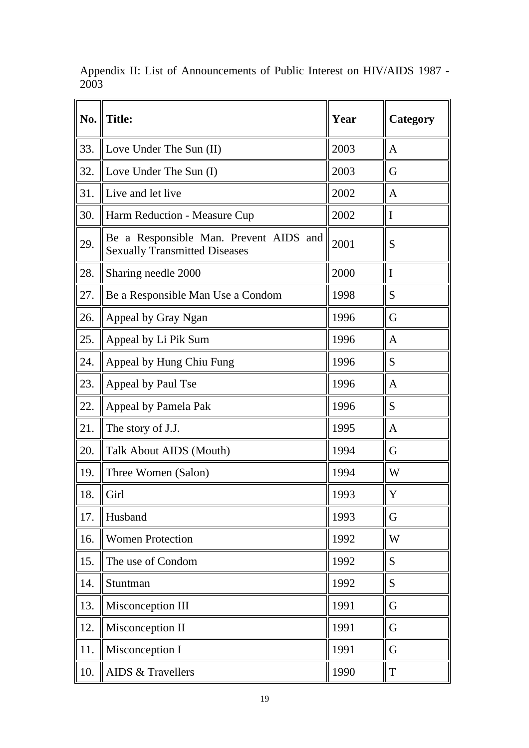| No. | <b>Title:</b>                                                                  | Year | Category     |
|-----|--------------------------------------------------------------------------------|------|--------------|
| 33. | Love Under The Sun (II)                                                        | 2003 | A            |
| 32. | Love Under The Sun (I)                                                         | 2003 | G            |
| 31. | Live and let live                                                              | 2002 | A            |
| 30. | Harm Reduction - Measure Cup                                                   | 2002 | I            |
| 29. | Be a Responsible Man. Prevent AIDS and<br><b>Sexually Transmitted Diseases</b> | 2001 | S            |
| 28. | Sharing needle 2000                                                            | 2000 | I            |
| 27. | Be a Responsible Man Use a Condom                                              | 1998 | S            |
| 26. | Appeal by Gray Ngan                                                            | 1996 | G            |
| 25. | Appeal by Li Pik Sum                                                           | 1996 | A            |
| 24. | Appeal by Hung Chiu Fung                                                       | 1996 | S            |
| 23. | Appeal by Paul Tse                                                             | 1996 | $\mathbf{A}$ |
| 22. | Appeal by Pamela Pak                                                           | 1996 | S            |
| 21. | The story of J.J.                                                              | 1995 | A            |
| 20. | Talk About AIDS (Mouth)                                                        | 1994 | G            |
| 19. | Three Women (Salon)                                                            | 1994 | W            |
| 18. | Girl                                                                           | 1993 | $\mathbf Y$  |
| 17. | Husband                                                                        | 1993 | G            |
| 16. | <b>Women Protection</b>                                                        | 1992 | W            |
| 15. | The use of Condom                                                              | 1992 | S            |
| 14. | Stuntman                                                                       | 1992 | S            |
| 13. | Misconception III                                                              | 1991 | G            |
| 12. | Misconception II                                                               | 1991 | G            |
| 11. | Misconception I                                                                | 1991 | G            |
| 10. | <b>AIDS &amp; Travellers</b>                                                   | 1990 | T            |

Appendix II: List of Announcements of Public Interest on HIV/AIDS 1987 - 2003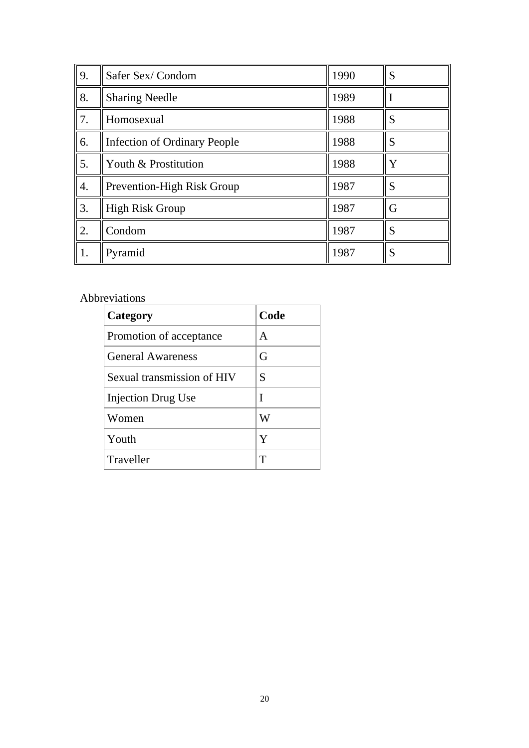| 9. | Safer Sex/Condom             | 1990 | S |
|----|------------------------------|------|---|
| 8. | <b>Sharing Needle</b>        | 1989 |   |
| 7. | Homosexual                   | 1988 | S |
| 6. | Infection of Ordinary People | 1988 | S |
| 5. | Youth & Prostitution         | 1988 | Y |
| 4. | Prevention-High Risk Group   | 1987 | S |
| 3. | High Risk Group              | 1987 | G |
| 2. | Condom                       | 1987 | S |
| 1. | Pyramid                      | 1987 | S |

#### Abbreviations

| Category                   | Code |
|----------------------------|------|
| Promotion of acceptance    | A    |
| <b>General Awareness</b>   | G    |
| Sexual transmission of HIV | S    |
| <b>Injection Drug Use</b>  | T    |
| Women                      | W    |
| Youth                      | Y    |
| Traveller                  | T    |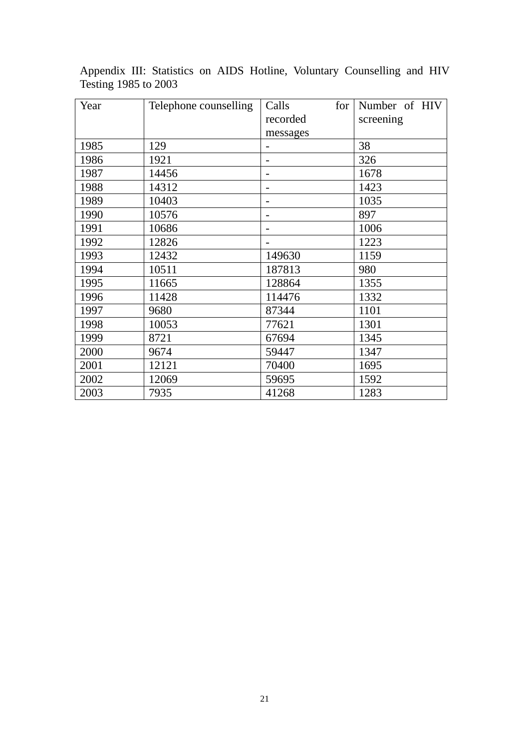| Year | Telephone counselling | Calls<br>for             | Number of HIV |  |  |
|------|-----------------------|--------------------------|---------------|--|--|
|      |                       | recorded                 |               |  |  |
|      |                       | messages                 |               |  |  |
| 1985 | 129                   |                          | 38            |  |  |
| 1986 | 1921                  |                          | 326           |  |  |
| 1987 | 14456                 |                          | 1678          |  |  |
| 1988 | 14312                 | $\overline{\phantom{a}}$ | 1423          |  |  |
| 1989 | 10403                 |                          | 1035          |  |  |
| 1990 | 10576                 |                          | 897           |  |  |
| 1991 | 10686                 |                          | 1006          |  |  |
| 1992 | 12826                 |                          | 1223          |  |  |
| 1993 | 12432                 | 149630                   | 1159          |  |  |
| 1994 | 10511                 | 187813                   | 980           |  |  |
| 1995 | 11665                 | 128864                   | 1355          |  |  |
| 1996 | 11428                 | 114476                   | 1332          |  |  |
| 1997 | 9680                  | 87344                    | 1101          |  |  |
| 1998 | 10053                 | 77621                    | 1301          |  |  |
| 1999 | 8721                  | 67694                    | 1345          |  |  |
| 2000 | 9674                  | 59447                    | 1347          |  |  |
| 2001 | 12121                 | 70400                    | 1695          |  |  |
| 2002 | 12069                 | 59695                    | 1592          |  |  |
| 2003 | 7935                  | 41268                    | 1283          |  |  |

Appendix III: Statistics on AIDS Hotline, Voluntary Counselling and HIV Testing 1985 to 2003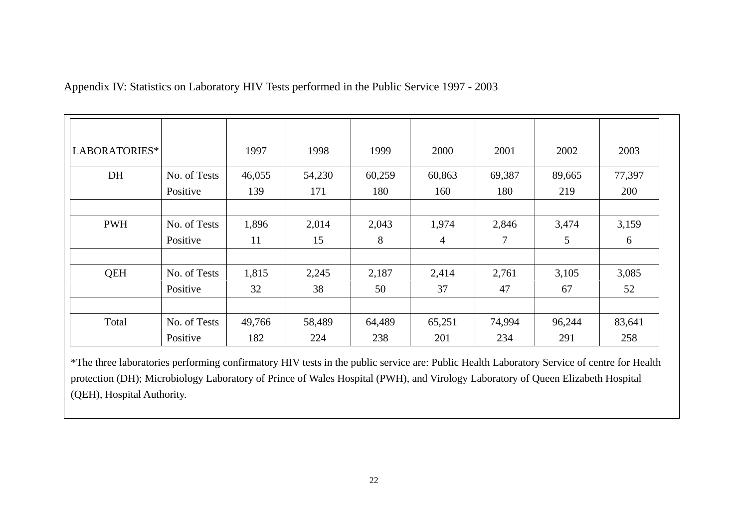Appendix IV: Statistics on Laboratory HIV Tests performed in the Public Service 1997 - 2003

| LABORATORIES* |              | 1997   | 1998   | 1999   | 2000   | 2001   | 2002   | 2003   |
|---------------|--------------|--------|--------|--------|--------|--------|--------|--------|
| DH            | No. of Tests | 46,055 | 54,230 | 60,259 | 60,863 | 69,387 | 89,665 | 77,397 |
|               | Positive     | 139    | 171    | 180    | 160    | 180    | 219    | 200    |
|               |              |        |        |        |        |        |        |        |
| <b>PWH</b>    | No. of Tests | 1,896  | 2,014  | 2,043  | 1,974  | 2,846  | 3,474  | 3,159  |
|               | Positive     | 11     | 15     | 8      | 4      | 7      | 5      | 6      |
|               |              |        |        |        |        |        |        |        |
| <b>QEH</b>    | No. of Tests | 1,815  | 2,245  | 2,187  | 2,414  | 2,761  | 3,105  | 3,085  |
|               | Positive     | 32     | 38     | 50     | 37     | 47     | 67     | 52     |
|               |              |        |        |        |        |        |        |        |
| Total         | No. of Tests | 49,766 | 58,489 | 64,489 | 65,251 | 74,994 | 96,244 | 83,641 |
|               | Positive     | 182    | 224    | 238    | 201    | 234    | 291    | 258    |

\*The three laboratories performing confirmatory HIV tests in the public service are: Public Health Laboratory Service of centre for Health protection (DH); Microbiology Laboratory of Prince of Wales Hospital (PWH), and Virology Laboratory of Queen Elizabeth Hospital (QEH), Hospital Authority.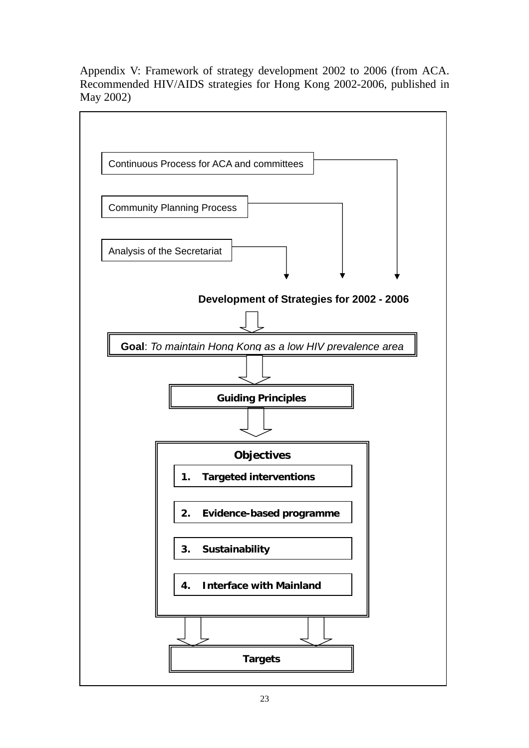Appendix V: Framework of strategy development 2002 to 2006 (from ACA. Recommended HIV/AIDS strategies for Hong Kong 2002-2006, published in May 2002)

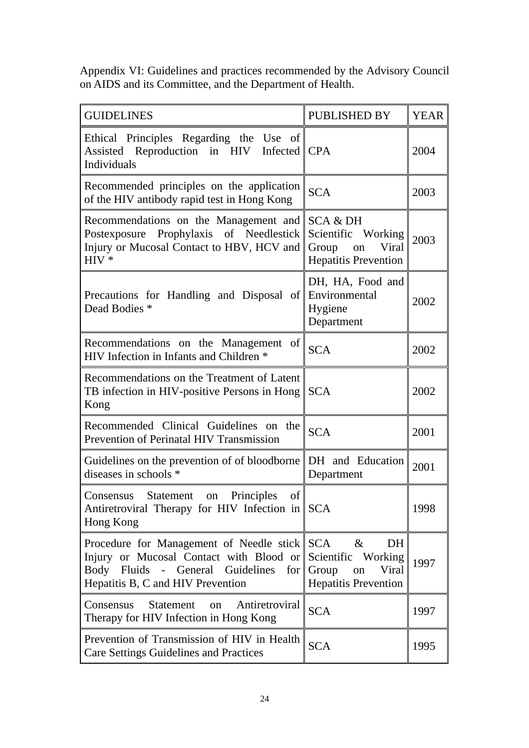Appendix VI: Guidelines and practices recommended by the Advisory Council on AIDS and its Committee, and the Department of Health.

| <b>GUIDELINES</b>                                                                                                                                                | <b>PUBLISHED BY</b>                                                                                    | <b>YEAR</b> |
|------------------------------------------------------------------------------------------------------------------------------------------------------------------|--------------------------------------------------------------------------------------------------------|-------------|
| Ethical Principles Regarding the Use of<br>Assisted Reproduction in HIV Infected CPA<br>Individuals                                                              |                                                                                                        | 2004        |
| Recommended principles on the application<br>of the HIV antibody rapid test in Hong Kong                                                                         | <b>SCA</b>                                                                                             | 2003        |
| Recommendations on the Management and $\parallel$<br>Postexposure Prophylaxis of Needlestick<br>Injury or Mucosal Contact to HBV, HCV and<br>$HIV*$              | <b>SCA &amp; DH</b><br>Scientific Working<br>Group on<br>Viral<br><b>Hepatitis Prevention</b>          | 2003        |
| Precautions for Handling and Disposal of<br>Dead Bodies *                                                                                                        | DH, HA, Food and<br>Environmental<br>Hygiene<br>Department                                             | 2002        |
| Recommendations on the Management of<br>HIV Infection in Infants and Children *                                                                                  | <b>SCA</b>                                                                                             | 2002        |
| Recommendations on the Treatment of Latent<br>TB infection in HIV-positive Persons in Hong<br>Kong                                                               | <b>SCA</b>                                                                                             | 2002        |
| Recommended Clinical Guidelines on the<br>Prevention of Perinatal HIV Transmission                                                                               | <b>SCA</b>                                                                                             | 2001        |
| Guidelines on the prevention of of bloodborne<br>diseases in schools *                                                                                           | DH and Education<br>Department                                                                         | 2001        |
| Principles<br>of<br>Statement on<br>Consensus<br>Antiretroviral Therapy for HIV Infection in SCA<br>Hong Kong                                                    |                                                                                                        | 1998        |
| Procedure for Management of Needle stick SCA<br>Injury or Mucosal Contact with Blood or<br>Body Fluids - General Guidelines<br>Hepatitis B, C and HIV Prevention | $\&$<br>DH<br>Scientific<br>Working<br>for $\vert$ Group<br>Viral<br>on<br><b>Hepatitis Prevention</b> | 1997        |
| <b>Statement</b><br>Antiretroviral<br>Consensus<br><sub>on</sub><br>Therapy for HIV Infection in Hong Kong                                                       | <b>SCA</b>                                                                                             | 1997        |
| Prevention of Transmission of HIV in Health<br><b>Care Settings Guidelines and Practices</b>                                                                     | <b>SCA</b>                                                                                             | 1995        |